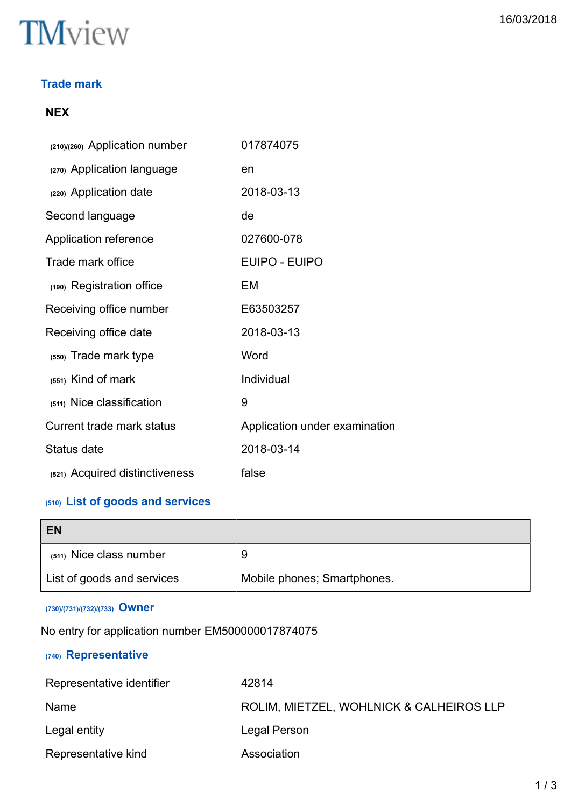## **TM**view

#### **Trade mark**

#### **NEX**

| (210)/(260) Application number | 017874075                     |
|--------------------------------|-------------------------------|
| (270) Application language     | en                            |
| (220) Application date         | 2018-03-13                    |
| Second language                | de                            |
| Application reference          | 027600-078                    |
| Trade mark office              | EUIPO - EUIPO                 |
| (190) Registration office      | EM                            |
| Receiving office number        | E63503257                     |
| Receiving office date          | 2018-03-13                    |
| (550) Trade mark type          | Word                          |
| (551) Kind of mark             | Individual                    |
| (511) Nice classification      | 9                             |
| Current trade mark status      | Application under examination |
| Status date                    | 2018-03-14                    |
| (521) Acquired distinctiveness | false                         |

### **(510) List of goods and services**

| <b>EN</b>                  |                             |
|----------------------------|-----------------------------|
| (511) Nice class number    |                             |
| List of goods and services | Mobile phones; Smartphones. |

#### **(730)/(731)/(732)/(733) Owner**

No entry for application number EM500000017874075

#### **(740) Representative**

| Representative identifier | 42814                                    |
|---------------------------|------------------------------------------|
| Name                      | ROLIM, MIETZEL, WOHLNICK & CALHEIROS LLP |
| Legal entity              | Legal Person                             |
| Representative kind       | Association                              |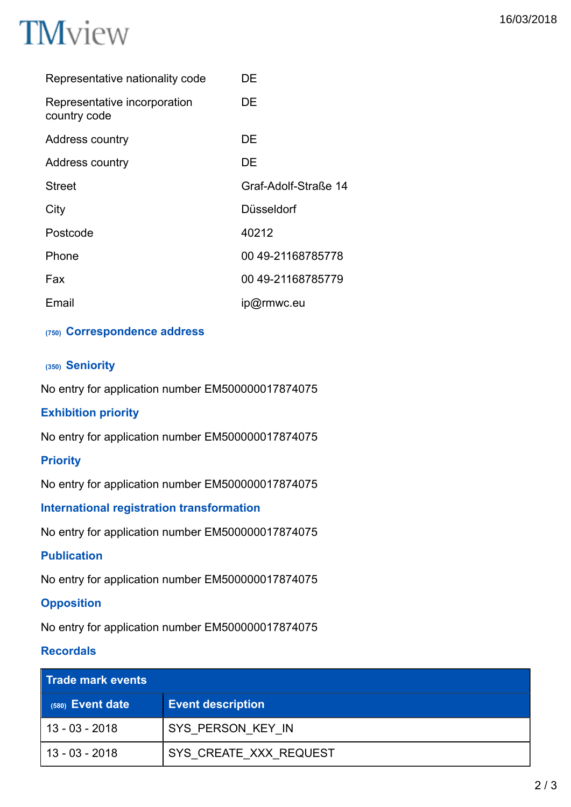

| Representative nationality code              | DE                   |
|----------------------------------------------|----------------------|
| Representative incorporation<br>country code | DE                   |
| Address country                              | DE                   |
| Address country                              | DE                   |
| <b>Street</b>                                | Graf-Adolf-Straße 14 |
| City                                         | Düsseldorf           |
| Postcode                                     | 40212                |
| Phone                                        | 00 49-21168785778    |
| Fax                                          | 00 49-21168785779    |
| Email                                        | ip@rmwc.eu           |

#### **(750) Correspondence address**

#### **(350) Seniority**

No entry for application number EM500000017874075

#### **Exhibition priority**

No entry for application number EM500000017874075

#### **Priority**

No entry for application number EM500000017874075

#### **International registration transformation**

No entry for application number EM500000017874075

#### **Publication**

No entry for application number EM500000017874075

#### **Opposition**

No entry for application number EM500000017874075

#### **Recordals**

| <b>Trade mark events</b> |                          |
|--------------------------|--------------------------|
| $(580)$ Event date       | <b>Event description</b> |
| 13 - 03 - 2018           | SYS PERSON KEY IN        |
| 13 - 03 - 2018           | SYS CREATE XXX REQUEST   |